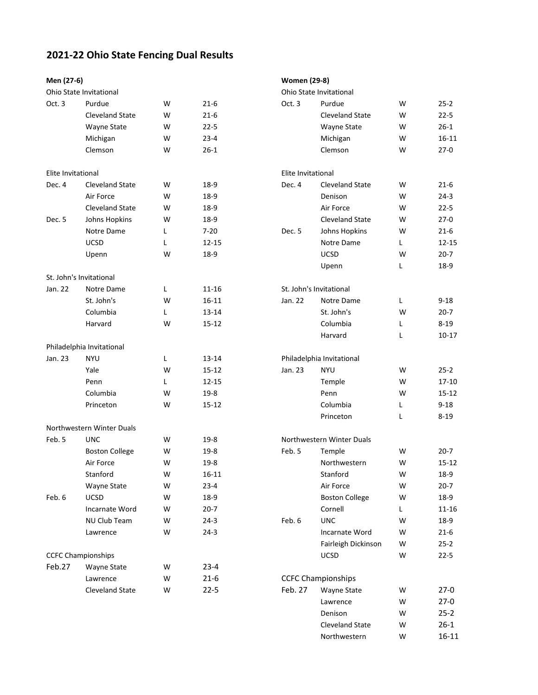## **2021-22 Ohio State Fencing Dual Results**

| Men (27-6)         |                           |   |           |                    | <b>Women (29-8)</b>       |    |           |  |  |  |  |
|--------------------|---------------------------|---|-----------|--------------------|---------------------------|----|-----------|--|--|--|--|
|                    | Ohio State Invitational   |   |           |                    | Ohio State Invitational   |    |           |  |  |  |  |
| Oct. 3             | Purdue                    | W | $21 - 6$  | Oct. 3             | Purdue                    | W  | $25 - 2$  |  |  |  |  |
|                    | <b>Cleveland State</b>    | W | $21 - 6$  |                    | <b>Cleveland State</b>    | W  | $22 - 5$  |  |  |  |  |
|                    | Wayne State               | W | $22 - 5$  |                    | Wayne State               | W  | $26 - 1$  |  |  |  |  |
|                    | Michigan                  | W | $23 - 4$  |                    | Michigan                  | W  | $16 - 11$ |  |  |  |  |
|                    | Clemson                   | W | $26 - 1$  |                    | Clemson                   | W  | $27 - 0$  |  |  |  |  |
|                    |                           |   |           |                    |                           |    |           |  |  |  |  |
| Elite Invitational |                           |   |           | Elite Invitational |                           |    |           |  |  |  |  |
| Dec. 4             | <b>Cleveland State</b>    | W | 18-9      | Dec. 4             | <b>Cleveland State</b>    | W  | $21 - 6$  |  |  |  |  |
|                    | Air Force                 | W | $18-9$    |                    | Denison                   | W  | $24 - 3$  |  |  |  |  |
|                    | <b>Cleveland State</b>    | W | 18-9      |                    | Air Force                 | W  | $22 - 5$  |  |  |  |  |
| Dec. 5             | Johns Hopkins             | W | 18-9      |                    | <b>Cleveland State</b>    | W  | $27-0$    |  |  |  |  |
|                    | Notre Dame                | L | $7 - 20$  | Dec. 5             | Johns Hopkins             | W  | $21 - 6$  |  |  |  |  |
|                    | <b>UCSD</b>               | L | 12-15     |                    | Notre Dame                | L. | $12 - 15$ |  |  |  |  |
|                    | Upenn                     | W | 18-9      |                    | UCSD                      | W  | $20 - 7$  |  |  |  |  |
|                    |                           |   |           |                    | Upenn                     | Г  | 18-9      |  |  |  |  |
|                    | St. John's Invitational   |   |           |                    |                           |    |           |  |  |  |  |
| Jan. 22            | Notre Dame                | L | 11-16     |                    | St. John's Invitational   |    |           |  |  |  |  |
|                    | St. John's                | W | $16 - 11$ | Jan. 22            | Notre Dame                | Г  | $9 - 18$  |  |  |  |  |
|                    | Columbia                  | Г | $13 - 14$ |                    | St. John's                | W  | $20 - 7$  |  |  |  |  |
|                    | Harvard                   | W | $15 - 12$ |                    | Columbia                  | L  | $8 - 19$  |  |  |  |  |
|                    |                           |   |           |                    | Harvard                   | L  | $10 - 17$ |  |  |  |  |
|                    | Philadelphia Invitational |   |           |                    |                           |    |           |  |  |  |  |
| Jan. 23            | <b>NYU</b>                | Г | 13-14     |                    | Philadelphia Invitational |    |           |  |  |  |  |
|                    | Yale                      | W | $15 - 12$ | Jan. 23            | <b>NYU</b>                | W  | $25 - 2$  |  |  |  |  |
|                    | Penn                      | L | $12 - 15$ |                    | Temple                    | W  | $17 - 10$ |  |  |  |  |
|                    | Columbia                  | W | $19-8$    |                    | Penn                      | W  | $15 - 12$ |  |  |  |  |
|                    | Princeton                 | W | $15 - 12$ |                    | Columbia                  | L  | $9 - 18$  |  |  |  |  |
|                    |                           |   |           |                    | Princeton                 | L  | $8 - 19$  |  |  |  |  |
|                    | Northwestern Winter Duals |   |           |                    |                           |    |           |  |  |  |  |
| Feb. 5             | <b>UNC</b>                | W | $19-8$    |                    | Northwestern Winter Duals |    |           |  |  |  |  |
|                    | <b>Boston College</b>     | W | $19-8$    | Feb. 5             | Temple                    | W  | $20 - 7$  |  |  |  |  |
|                    | Air Force                 | W | $19-8$    |                    | Northwestern              | W  | $15 - 12$ |  |  |  |  |
|                    | Stanford                  | W | $16 - 11$ |                    | Stanford                  | W  | 18-9      |  |  |  |  |
|                    | Wayne State               | W | $23 - 4$  |                    | Air Force                 | W  | $20 - 7$  |  |  |  |  |
| Feb. 6             | <b>UCSD</b>               | W | 18-9      |                    | <b>Boston College</b>     | W  | 18-9      |  |  |  |  |
|                    | Incarnate Word            | W | $20-7$    |                    | Cornell                   | L. | 11-16     |  |  |  |  |
|                    | NU Club Team              | W | $24-3$    | Feb. 6             | <b>UNC</b>                | W  | 18-9      |  |  |  |  |
|                    | Lawrence                  | W | $24-3$    |                    | Incarnate Word            | W  | $21-6$    |  |  |  |  |
|                    |                           |   |           |                    | Fairleigh Dickinson       | W  | $25 - 2$  |  |  |  |  |
|                    | <b>CCFC Championships</b> |   |           |                    | <b>UCSD</b>               | W  | $22 - 5$  |  |  |  |  |
| Feb.27             | Wayne State               | W | $23 - 4$  |                    |                           |    |           |  |  |  |  |
|                    | Lawrence                  | W | $21 - 6$  |                    | <b>CCFC Championships</b> |    |           |  |  |  |  |
|                    | <b>Cleveland State</b>    | W | $22 - 5$  | Feb. 27            | Wayne State               | W  | $27-0$    |  |  |  |  |
|                    |                           |   |           |                    | Lawrence                  | W  | $27-0$    |  |  |  |  |
|                    |                           |   |           |                    | Denison                   | W  | $25-2$    |  |  |  |  |
|                    |                           |   |           |                    | Cleveland State           | W  | $26-1$    |  |  |  |  |
|                    |                           |   |           |                    | Northwestern              | W  | $16 - 11$ |  |  |  |  |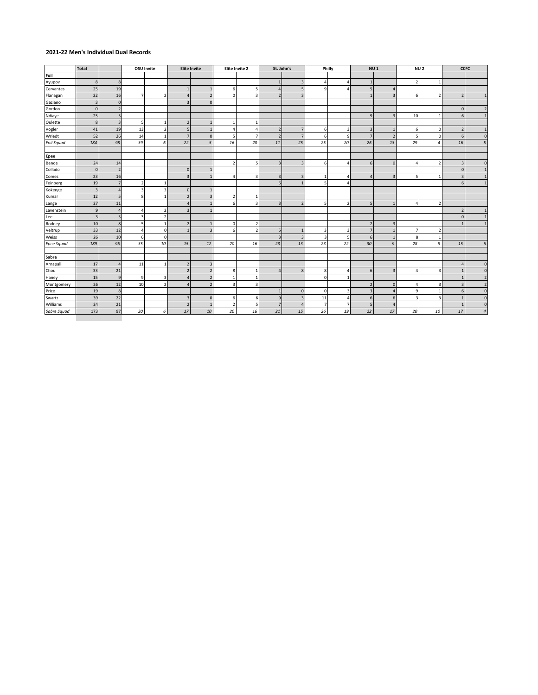#### **2021-22 Men's Individual Dual Records**

|                   | <b>Total</b>   |                |                         | <b>OSU Invite</b>        |                          | <b>Elite Invite</b> |                          | Elite Invite 2 | St. John's     |                | Philly   |                          | NU <sub>1</sub> |                |                          | NU <sub>2</sub> |                          | CCFC                    |
|-------------------|----------------|----------------|-------------------------|--------------------------|--------------------------|---------------------|--------------------------|----------------|----------------|----------------|----------|--------------------------|-----------------|----------------|--------------------------|-----------------|--------------------------|-------------------------|
| Foil              |                |                |                         |                          |                          |                     |                          |                |                |                |          |                          |                 |                |                          |                 |                          |                         |
| Ayupov            | 8              | 8              |                         |                          |                          |                     |                          |                |                | 3              | 4        | $\Delta$                 |                 |                | $\overline{ }$           | $\overline{1}$  |                          |                         |
| Cervantes         | 25             | 19             |                         |                          |                          |                     | 6                        |                | $\overline{4}$ | 5              | 9        | $\overline{\phantom{a}}$ | 5               |                |                          |                 |                          |                         |
| Flanagan          | 22             | 16             | $\overline{7}$          | $\overline{2}$           | $\Delta$                 | $\overline{2}$      | $\Omega$                 |                | $\overline{2}$ | $\overline{3}$ |          |                          |                 |                | 6                        | $\overline{2}$  | $\overline{\phantom{a}}$ |                         |
| Gaziano           | 3              | $\mathbf{0}$   |                         |                          |                          | $\mathbf{0}$        |                          |                |                |                |          |                          |                 |                |                          |                 |                          |                         |
| Gordon            | $\Omega$       | $\overline{2}$ |                         |                          |                          |                     |                          |                |                |                |          |                          |                 |                |                          |                 | $\Omega$                 | $\overline{\mathbf{z}}$ |
| Ndiaye            | 25             | 5              |                         |                          |                          |                     |                          |                |                |                |          |                          | $\mathbf{Q}$    |                | 10                       | $\mathbf{1}$    | 6                        | $\mathbf{1}$            |
| Oulette           | 8              | $\overline{3}$ | 5                       | $\mathbf{1}$             | $\overline{2}$           |                     |                          |                |                |                |          |                          |                 |                |                          |                 |                          |                         |
| Vogler            | 41             | 19             | 13                      | $\overline{2}$           | 5                        | $\mathbf{1}$        | 4                        |                | $\overline{2}$ | $\overline{7}$ | 6        | $\overline{\mathbf{3}}$  | з               |                | 6                        | $\pmb{0}$       | $\overline{\phantom{a}}$ | $\overline{1}$          |
| Wriedt            | 52             | 26             | 14                      | $\mathbf{1}$             | $\overline{7}$           | $\mathbf{0}$        | 5                        | 7              | $\overline{2}$ | $\overline{7}$ | 6        | 9                        | $\overline{7}$  | $\overline{2}$ | 5                        | $\pmb{0}$       | 6                        | $\mathbf 0$             |
| <b>Foil Squad</b> | 184            | 98             | 39                      | 6                        | 22                       | 5                   | 16                       | 20             | 11             | 25             | 25       | 20                       | 26              | 13             | 29                       | $\overline{4}$  | 16                       | $\sqrt{5}$              |
| Epee              |                |                |                         |                          |                          |                     |                          |                |                |                |          |                          |                 |                |                          |                 |                          |                         |
| Bende             | 24             | 14             |                         |                          |                          |                     | $\overline{\phantom{a}}$ |                | $\overline{3}$ | $\overline{3}$ | 6        | $\Delta$                 | 6               |                | $\overline{\phantom{a}}$ | $\overline{2}$  | 3                        | $\mathbf{0}$            |
| Collado           | $\Omega$       | $\overline{2}$ |                         |                          | $\mathbf{0}$             |                     |                          |                |                |                |          |                          |                 |                |                          |                 | $\Omega$                 | $\mathbf{1}$            |
| Comes             | 23             | 16             |                         |                          | $\overline{3}$           |                     | $\lambda$                |                | $\overline{3}$ | 3              |          | Δ                        |                 |                |                          | $\mathbf{1}$    | $\overline{\mathbf{z}}$  |                         |
| Feinberg          | 19             | $\overline{7}$ | $\overline{2}$          | $\overline{1}$           |                          |                     |                          |                | 6              |                |          |                          |                 |                |                          |                 | 6                        |                         |
| Kokenge           | $\overline{3}$ | $\overline{4}$ | $\overline{\mathbf{3}}$ | 3                        | $\mathbf{0}$             |                     |                          |                |                |                |          |                          |                 |                |                          |                 |                          |                         |
| Kumar             | 12             | 5              | $\boldsymbol{8}$        | $\mathbf{1}$             | $\overline{\phantom{a}}$ | $\overline{3}$      | $\overline{\phantom{a}}$ |                |                |                |          |                          |                 |                |                          |                 |                          |                         |
| Lange             | 27             | 11             |                         |                          | $\Delta$                 |                     | 6                        |                | $\overline{3}$ | $\overline{2}$ |          | $\overline{\phantom{a}}$ |                 |                |                          | $\overline{2}$  |                          |                         |
| Lavenstein        | $\mathbf{q}$   | $\overline{4}$ | $\overline{4}$          | $\overline{2}$           | 3                        |                     |                          |                |                |                |          |                          |                 |                |                          |                 | $\overline{2}$           |                         |
| Lee               | $\overline{3}$ | $\overline{3}$ | 3                       | $\overline{2}$           |                          |                     |                          |                |                |                |          |                          |                 |                |                          |                 | $\Omega$                 |                         |
| Rodney            | $10\,$         | 8              | 5                       | $\mathbf{1}$             | $\overline{2}$           |                     | 0                        |                |                |                |          |                          |                 |                |                          |                 |                          |                         |
| Veltrup           | 33             | 12             | $\overline{a}$          | $\circ$                  | $\overline{1}$           | $\overline{3}$      | 6                        |                | 5              | 1              |          | 3                        |                 |                | 7                        | $\overline{2}$  |                          |                         |
| Weiss             | 26             | 10             | 6                       | $\circ$                  |                          |                     |                          |                | $\overline{3}$ | $\overline{3}$ |          | 5                        | 6               |                | 8                        | $\mathbf{1}$    |                          |                         |
| <b>Epee Squad</b> | 189            | 96             | 35                      | 10                       | 15                       | 12                  | 20                       | 16             | 23             | 13             | 23       | 22                       | 30              | q              | 28                       | 8               | 15                       | $\epsilon$              |
| Sabre             |                |                |                         |                          |                          |                     |                          |                |                |                |          |                          |                 |                |                          |                 |                          |                         |
| Arnapalli         | 17             | $\overline{4}$ | 11                      | $\mathbf{1}$             | $\overline{\phantom{a}}$ | 3                   |                          |                |                |                |          |                          |                 |                |                          |                 |                          | $\mathbf{0}$            |
| Chou              | 33             | 21             |                         |                          | $\overline{\phantom{a}}$ | $\overline{2}$      | 8                        |                | $\Delta$       | 8              | 8        | $\Delta$                 | 6               |                |                          | 3               |                          | $\mathbf{0}$            |
| Haney             | 15             | $\overline{9}$ | 9                       | 3                        | 4                        | $\overline{2}$      |                          |                |                |                | $\Omega$ |                          |                 |                |                          |                 |                          | $\overline{2}$          |
| Montgomery        | 26             | 12             | 10                      | $\overline{\phantom{a}}$ | $\Lambda$                | $\overline{2}$      | $\overline{\mathbf{3}}$  |                |                |                |          |                          | $\overline{2}$  | $\Omega$       | $\Delta$                 | 3               |                          | $\overline{2}$          |
| Price             | 19             | 8              |                         |                          |                          |                     |                          |                | $\overline{1}$ | $\mathbf{0}$   | $\Omega$ | 3                        |                 |                | 9                        | $\mathbf{1}$    | 6                        | $\mathsf{O}\xspace$     |
| Swartz            | 39             | 22             |                         |                          | 3                        | $\mathbf{0}$        | 6                        | 6              | $\overline{9}$ | 3              | 11       | Δ                        | 6               | 6              | 3                        | $\overline{3}$  |                          | $\mathbf{0}$            |
| Williams          | 24             | 21             |                         |                          | $\overline{\phantom{a}}$ | $\overline{1}$      | $\overline{\phantom{a}}$ |                | $\overline{7}$ | Δ              |          | 7                        |                 |                |                          |                 |                          | $\mathbf 0$             |
| Sabre Squad       | 173            | 97             | 30                      | 6                        | 17                       | 10                  | 20                       | 16             | 21             | 15             | 26       | 19                       | 22              | 17             | 20                       | 10              | 17                       | $\sqrt{4}$              |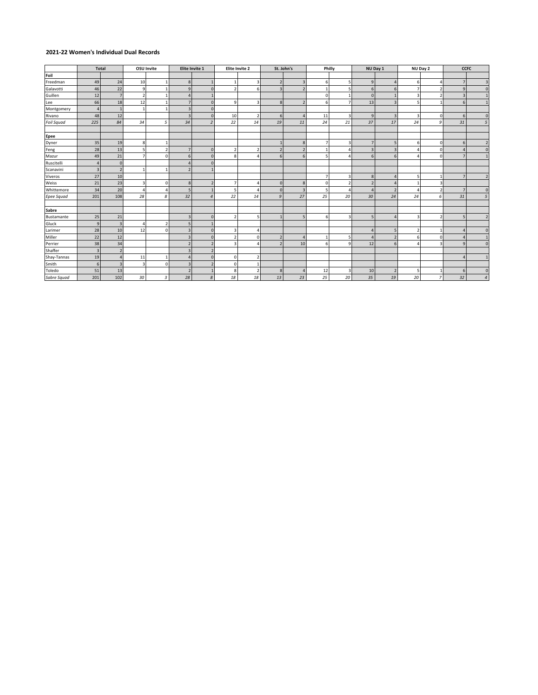### **2021-22 Women's Individual Dual Records**

|                   | <b>Total</b>   |                          |    | OSU Invite               | Elite Invite 1           |                          |                          | Elite Invite 2 | St. John's              |                          |          | Philly                  | NU Day 1                 |    |    | NU Day 2       |                | <b>CCFC</b>         |
|-------------------|----------------|--------------------------|----|--------------------------|--------------------------|--------------------------|--------------------------|----------------|-------------------------|--------------------------|----------|-------------------------|--------------------------|----|----|----------------|----------------|---------------------|
| Foil              |                |                          |    |                          |                          |                          |                          |                |                         |                          |          |                         |                          |    |    |                |                |                     |
| Freedman          | 49             | 24                       | 10 | $\overline{1}$           | 8                        |                          |                          |                |                         | $\overline{3}$           | 6        |                         | $\overline{9}$           |    | 6  |                | $\overline{7}$ | $\overline{3}$      |
| Galavotti         | 46             | 22                       | q  | $\mathbf{1}$             | $\overline{9}$           | $\mathbf{0}$             | $\overline{\phantom{a}}$ | 6              | $\overline{\mathbf{z}}$ | $\overline{\phantom{a}}$ |          |                         | 6                        |    |    |                | $\overline{9}$ | $\mathbf{0}$        |
| Guillen           | 12             | $\overline{z}$           | f. | $\overline{1}$           | $\overline{4}$           |                          |                          |                |                         |                          | $\Omega$ |                         | $\Omega$                 |    |    |                | 3              |                     |
| Lee               | 66             | 18                       | 12 | $\mathbf{1}$             | $\overline{7}$           | $\Omega$                 | 9                        |                | $\mathbf{8}$            |                          | 6        |                         | 13                       |    |    |                | 6              | $\mathbf{1}$        |
| Montgomery        | $\overline{a}$ |                          |    | $\overline{1}$           | 3                        | $\mathbf{0}$             |                          |                |                         |                          |          |                         |                          |    |    |                |                |                     |
| Rivano            | 48             | 12                       |    |                          | $\overline{3}$           |                          | 10                       |                | 6                       |                          | 11       |                         | 9                        |    |    | $\Omega$       | 6              | $\mathbf{0}$        |
| Foil Squad        | 225            | 84                       | 34 | 5                        | 34                       | $\overline{\phantom{a}}$ | 22                       | 14             | 19                      | 11                       | 24       | 21                      | 37                       | 17 | 24 | 9              | 31             | 5 <sup>5</sup>      |
| Epee              |                |                          |    |                          |                          |                          |                          |                |                         |                          |          |                         |                          |    |    |                |                |                     |
| Dyner             | 35             | 19                       | 8  |                          |                          |                          |                          |                |                         | 8                        | 7        |                         |                          |    |    | $\Omega$       | 6              | $\overline{2}$      |
| Feng              | 28             | 13                       |    | $\overline{\phantom{a}}$ | $\overline{7}$           | $\Omega$                 | $\mathcal{P}$            |                |                         |                          |          |                         | в                        |    |    | $\Omega$       |                | $\mathbf{0}$        |
| Mazur             | 49             | 21                       |    | $\Omega$                 | 6                        | $\Omega$                 | 8                        |                |                         | 6                        |          |                         | 6                        | 6  |    | $\Omega$       |                |                     |
| Ruscitelli        |                | $\mathbf{0}$             |    |                          | Δ                        |                          |                          |                |                         |                          |          |                         |                          |    |    |                |                |                     |
| Scanavini         | $\overline{3}$ | $\overline{\phantom{a}}$ |    | $\mathbf{1}$             | $\overline{\phantom{a}}$ |                          |                          |                |                         |                          |          |                         |                          |    |    |                |                |                     |
| Viveros           | 27             | 10                       |    |                          |                          |                          |                          |                |                         |                          |          |                         | 8                        |    |    |                |                | $\overline{2}$      |
| Weiss             | 21             | 23                       |    | $\mathbf 0$              | 8                        |                          |                          |                | $\Omega$                | 8                        | $\Omega$ |                         |                          |    |    |                |                |                     |
| Whittemore        | 34             | 20                       |    | $\Delta$                 | 5                        |                          |                          |                | $\Omega$                |                          |          |                         |                          |    |    |                | $\overline{7}$ | $\mathbf{0}$        |
| <b>Epee Squad</b> | 201            | 108                      | 28 | 8                        | 32                       | $\overline{4}$           | 22                       | 14             | 9                       | 27                       | 25       | 20                      | 30                       | 24 | 24 | 6              | 31             | 5                   |
| Sabre             |                |                          |    |                          |                          |                          |                          |                |                         |                          |          |                         |                          |    |    |                |                |                     |
| Bustamante        | 25             | 21                       |    |                          | $\overline{3}$           | $\mathbf{0}$             | $\overline{ }$           |                |                         |                          | 6        | $\overline{\mathbf{z}}$ | $\overline{\phantom{a}}$ |    |    |                | 5              | $\overline{2}$      |
| Gluck             | 9              | $\overline{3}$           |    | $\overline{\phantom{a}}$ | 5                        |                          |                          |                |                         |                          |          |                         |                          |    |    |                |                |                     |
| Larimer           | 28             | 10                       | 12 | $\Omega$                 | $\overline{3}$           | $\Omega$                 | 3                        |                |                         |                          |          |                         |                          |    |    |                |                | $\mathsf{O}\xspace$ |
| Miller            | 22             | 12                       |    |                          | 3                        | $\mathbf{0}$             | $\overline{\phantom{a}}$ | n              |                         |                          |          |                         |                          |    |    |                |                |                     |
| Perrier           | 38             | 34                       |    |                          | $\overline{\phantom{a}}$ |                          | २                        |                |                         | 10                       | 6        |                         | 12                       | 6  |    |                | $\Omega$       | $\mathbf{0}$        |
| Shaffer           | $\overline{3}$ | $\overline{\phantom{a}}$ |    |                          |                          |                          |                          |                |                         |                          |          |                         |                          |    |    |                |                |                     |
| Shay-Tannas       | 19             | $\Lambda$                | 11 | $\mathbf{1}$             | $\overline{4}$           | $\circ$                  | 0                        |                |                         |                          |          |                         |                          |    |    |                |                | $\mathbf{1}$        |
| Smith             | 6              | 3                        |    | $\mathbf 0$              | $\overline{3}$           | $\overline{z}$           | $\mathbf 0$              |                |                         |                          |          |                         |                          |    |    |                |                |                     |
| Toledo            | 51             | 13                       |    |                          | $\overline{\phantom{a}}$ |                          | 8                        | $\mathcal{P}$  | 8                       |                          | 12       |                         | 10                       |    |    |                | 6              | $\mathbf 0$         |
| Sabre Squad       | 201            | 102                      | 30 | 3                        | 28                       | $\boldsymbol{s}$         | 18                       | 18             | 13                      | 23                       | 25       | 20                      | 35                       | 19 | 20 | $\overline{7}$ | 32             | $\overline{4}$      |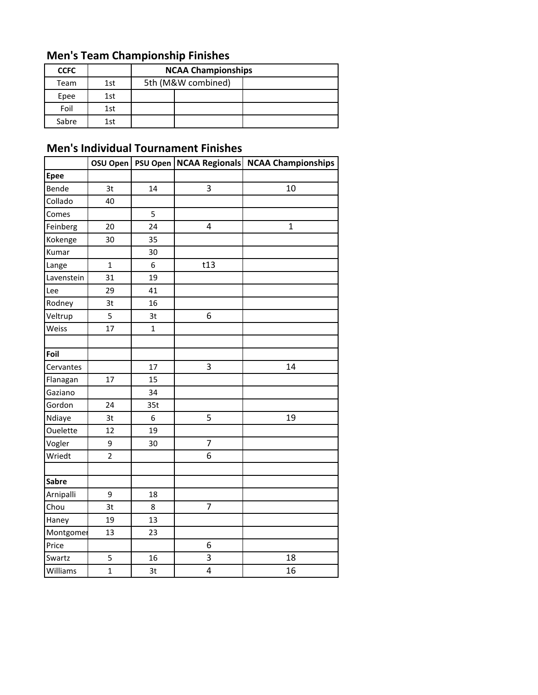# **Men's Team Championship Finishes**

| <b>CCFC</b> |     | <b>NCAA Championships</b> |                    |  |  |  |  |  |
|-------------|-----|---------------------------|--------------------|--|--|--|--|--|
| Team        | 1st |                           | 5th (M&W combined) |  |  |  |  |  |
| Epee        | 1st |                           |                    |  |  |  |  |  |
| Foil        | 1st |                           |                    |  |  |  |  |  |
| Sabre       | 1st |                           |                    |  |  |  |  |  |

## **Men's Individual Tournament Finishes**

|              | OSU Open       |              |                | PSU Open   NCAA Regionals   NCAA Championships |
|--------------|----------------|--------------|----------------|------------------------------------------------|
| <b>Epee</b>  |                |              |                |                                                |
| Bende        | 3t             | 14           | 3              | 10                                             |
| Collado      | 40             |              |                |                                                |
| Comes        |                | 5            |                |                                                |
| Feinberg     | 20             | 24           | 4              | $\mathbf{1}$                                   |
| Kokenge      | 30             | 35           |                |                                                |
| Kumar        |                | 30           |                |                                                |
| Lange        | $\mathbf{1}$   | 6            | t13            |                                                |
| Lavenstein   | 31             | 19           |                |                                                |
| Lee          | 29             | 41           |                |                                                |
| Rodney       | 3t             | 16           |                |                                                |
| Veltrup      | 5              | 3t           | 6              |                                                |
| Weiss        | 17             | $\mathbf{1}$ |                |                                                |
|              |                |              |                |                                                |
| Foil         |                |              |                |                                                |
| Cervantes    |                | 17           | 3              | 14                                             |
| Flanagan     | 17             | 15           |                |                                                |
| Gaziano      |                | 34           |                |                                                |
| Gordon       | 24             | 35t          |                |                                                |
| Ndiaye       | 3t             | 6            | 5              | 19                                             |
| Ouelette     | 12             | 19           |                |                                                |
| Vogler       | 9              | 30           | $\overline{7}$ |                                                |
| Wriedt       | $\overline{2}$ |              | 6              |                                                |
|              |                |              |                |                                                |
| <b>Sabre</b> |                |              |                |                                                |
| Arnipalli    | 9              | 18           |                |                                                |
| Chou         | 3t             | 8            | 7              |                                                |
| Haney        | 19             | 13           |                |                                                |
| Montgomer    | 13             | 23           |                |                                                |
| Price        |                |              | 6              |                                                |
| Swartz       | 5              | 16           | 3              | 18                                             |
| Williams     | $\overline{1}$ | 3t           | 4              | 16                                             |